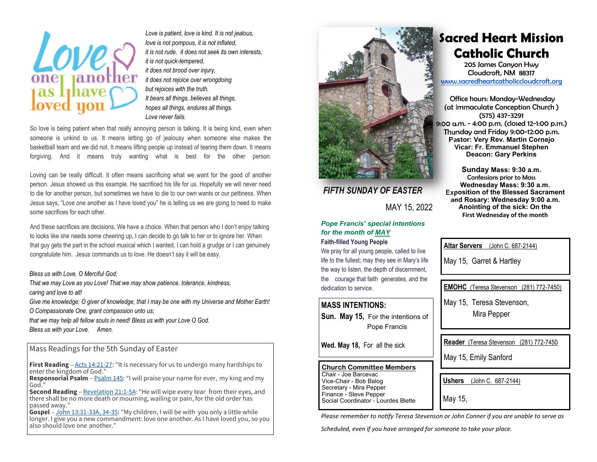

*Love is patient, love is kind. It is not jealous, love is not pompous, it is not inflated, it is not rude, it does not seek its own interests, it is not quick-tempered, it does not brood over injury, it does not rejoice over wrongdoing but rejoices with the truth. It bears all things, believes all things, hopes all things, endures all things. Love never fails.* 

So love is being patient when that really annoying person is talking. It is being kind, even when someone is unkind to us. It means letting go of jealousy when someone else makes the basketball team and we did not. It means lifting people up instead of tearing them down. It means forgiving. And it means truly wanting what is best for the other person.

Loving can be really difficult. It often means sacrificing what we want for the good of another person. Jesus showed us this example. He sacrificed his life for us. Hopefully we will never need to die for another person, but sometimes we have to die to our own wants or our pettiness. When Jesus says, "Love one another as I have loved you" he is telling us we are going to need to make some sacrifices for each other.

And these sacrifices are decisions. We have a choice. When that person who I don't enjoy talking to looks like she needs some cheering up, I can decide to go talk to her or to ignore her. When that guy gets the part in the school musical which I wanted, I can hold a grudge or I can genuinely congratulate him. Jesus commands us to love. He doesn't say it will be easy.

#### *Bless us with Love, O Merciful God;*

*That we may Love as you Love! That we may show patience, tolerance, kindness, caring and love to all!* 

*Give me knowledge; O giver of knowledge, that I may be one with my Universe and Mother Earth! O Compassionate One, grant compassion unto us;* 

*that we may help all fellow souls in need! Bless us with your Love O God. Bless us with your Love. Amen.* 

### Mass Readings for the 5th Sunday of Easter

**First Reading** – Acts 14:21-27: "It is necessary for us to undergo many hardships to enter the kingdom of God."

**Responsorial Psalm** – Psalm 145: "I will praise your name for ever, my king and my God."

**Second Reading** – Revelation 21:1-5A: "He will wipe every tear from their eyes, and there shall be no more death or mourning, wailing or pain, for the old order has passed away."

**Gospel** – John 13:31-33A, 34-35: "My children, I will be with you only a little while longer. I give you a new commandment: love one another. As I have loved you, so you also should love one another."



### *FIFTH SUNDAY OF EASTER*

MAY 15, 2022

#### *Pope Francis' special intentions for the month of MAY* **Faith-filled Young People**

We pray for all young people, called to live

life to the fullest; may they see in Mary's life the way to listen, the depth of discernment, the courage that faith generates, and the dedication to service.

### **MASS INTENTIONS:**

**Sun. May 15,** For the intentions of Pope Francis

**Wed. May 18,** For all the sick

#### **Church Committee Members** Chair - Joe Barcevac

Vice-Chair - Bob Balog Secretary - Mira Pepper Finance - Steve Pepper Social Coordinator - Lourdes Blette

*Please remember to notify Teresa Stevenson or John Conner if you are unable to serve as* 

*Scheduled, even if you have arranged for someone to take your place.* 

## **Sacred Heart Mission Catholic Church**

205 James Canyon Hwy Cloudcroft, NM 88317 www.sacredheartcatholiccloudcroft.org

Office hours: Monday-Wednesday (at Immaculate Conception Church ) (575) 437-3291 9:00 a.m. - 4:00 p.m. (closed 12-1:00 p.m.) Thursday and Friday 9:00-12:00 p.m. **Pastor: Very Rev. Martin Cornejo Vicar: Fr. Emmanuel Stephen Deacon: Gary Perkins** 

**Sunday Mass: 9:30 a.m.**  Confessions prior to Mass **Wednesday Mass: 9:30 a.m. Exposition of the Blessed Sacrament and Rosary: Wednesday 9:00 a.m. Anointing of the sick: On the First Wednesday of the month** 

**Altar Servers** (John C. 687-2144)

May 15, Garret & Hartley

**EMOHC** (Teresa Stevenson (281) 772-7450)

May 15, Teresa Stevenson, Mira Pepper

**Reader** (Teresa Stevenson (281) 772-7450

May 15, Emily Sanford

**Ushers** (John C. 687-2144)

May 15,